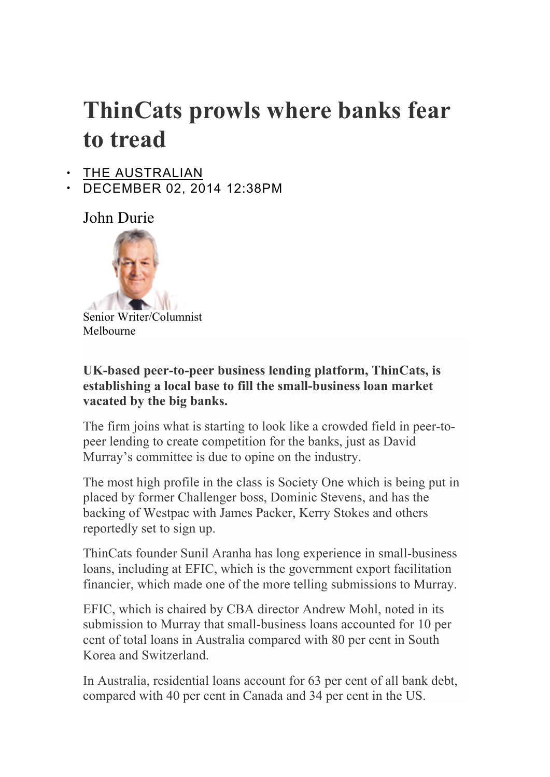## **ThinCats prowls where banks fear to tread**

- THE AUSTRALIAN
- DECEMBER 02, 2014 12:38PM

John Durie



Senior Writer/Columnist Melbourne

## **UK-based peer-to-peer business lending platform, ThinCats, is establishing a local base to fill the small-business loan market vacated by the big banks.**

The firm joins what is starting to look like a crowded field in peer-topeer lending to create competition for the banks, just as David Murray's committee is due to opine on the industry.

The most high profile in the class is Society One which is being put in placed by former Challenger boss, Dominic Stevens, and has the backing of Westpac with James Packer, Kerry Stokes and others reportedly set to sign up.

ThinCats founder Sunil Aranha has long experience in small-business loans, including at EFIC, which is the government export facilitation financier, which made one of the more telling submissions to Murray.

EFIC, which is chaired by CBA director Andrew Mohl, noted in its submission to Murray that small-business loans accounted for 10 per cent of total loans in Australia compared with 80 per cent in South Korea and Switzerland.

In Australia, residential loans account for 63 per cent of all bank debt, compared with 40 per cent in Canada and 34 per cent in the US.